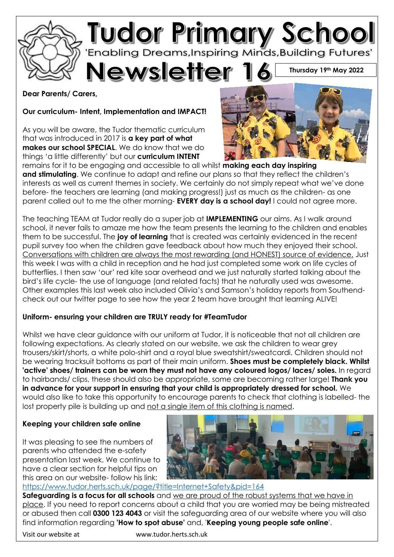

#### **Dear Parents/ Carers,**

**Our curriculum- Intent, Implementation and IMPACT!**

As you will be aware, the Tudor thematic curriculum that was introduced in 2017 is **a key part of what makes our school SPECIAL**. We do know that we do things 'a little differently' but our **curriculum INTENT**



remains for it to be engaging and accessible to all whilst **making each day inspiring**  and stimulating. We continue to adapt and refine our plans so that they reflect the children's interests as well as current themes in society. We certainly do not simply repeat what we've done before- the teachers are learning (and making progress!) just as much as the children- as one parent called out to me the other morning- **EVERY day is a school day!** I could not agree more.

The teaching TEAM at Tudor really do a super job at **IMPLEMENTING** our aims. As I walk around school, it never fails to amaze me how the team presents the learning to the children and enables them to be successful. The **joy of learning** that is created was certainly evidenced in the recent pupil survey too when the children gave feedback about how much they enjoyed their school. Conversations with children are always the most rewarding (and HONEST) source of evidence. Just this week I was with a child in reception and he had just completed some work on life cycles of butterflies. I then saw 'our' red kite soar overhead and we just naturally started talking about the bird's life cycle- the use of language (and related facts) that he naturally used was awesome. Other examples this last week also included Olivia's and Samson's holiday reports from Southendcheck out our twitter page to see how the year 2 team have brought that learning ALIVE!

#### **Uniform- ensuring your children are TRULY ready for #TeamTudor**

Whilst we have clear quidance with our uniform at Tudor, it is noticeable that not all children are following expectations. As clearly stated on our website, we ask the children to wear grey trousers/skirt/shorts, a white polo-shirt and a royal blue sweatshirt/sweatcardi. Children should not be wearing tracksuit bottoms as part of their main uniform. **Shoes must be completely black. Whilst 'active' shoes/ trainers can be worn they must not have any coloured logos/ laces/ soles.** In regard to hairbands/ clips, these should also be appropriate, some are becoming rather large! **Thank you in advance for your support in ensuring that your child is appropriately dressed for school.** We would also like to take this opportunity to encourage parents to check that clothing is labelled- the lost property pile is building up and not a single item of this clothing is named.

#### **Keeping your children safe online**

It was pleasing to see the numbers of parents who attended the e-safety presentation last week. We continue to have a clear section for helpful tips on this area on our website- follow his link:



<https://www.tudor.herts.sch.uk/page/?title=Internet+Safety&pid=164>

**Safeguarding is a focus for all schools** and we are proud of the robust systems that we have in place. If you need to report concerns about a child that you are worried may be being mistreated or abused then call **0300 123 4043** or visit the safeguarding area of our website where you will also find information regarding **'How to spot abuse'** and, '**Keeping young people safe online**'.

Visit our website at www.tudor.herts.sch.uk